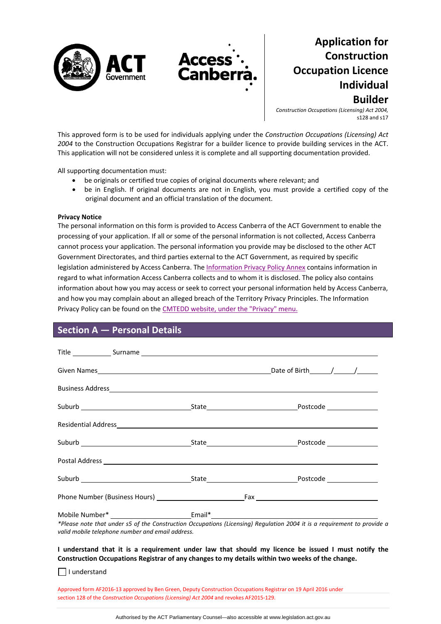



*Construction Occupations (Licensing) Act 2004,* s128 and s17

This approved form is to be used for individuals applying under the *Construction Occupations (Licensing) Act 2004* to the Construction Occupations Registrar for a builder licence to provide building services in the ACT. This application will not be considered unless it is complete and all supporting documentation provided.

All supporting documentation must:

be originals or certified true copies of original documents where relevant; and

**Acces Canbe** 

 be in English. If original documents are not in English, you must provide a certified copy of the original document and an official translation of the document.

#### **Privacy Notice**

The personal information on this form is provided to Access Canberra of the ACT Government to enable the processing of your application. If all or some of the personal information is not collected, Access Canberra cannot process your application. The personal information you provide may be disclosed to the other ACT Government Directorates, and third parties external to the ACT Government, as required by specific legislation administered by Access Canberra. The [Information](hhttp://www.cmd.act.gov.au/legal/privacy) Privacy Policy Annex contains information in regard to what information Access Canberra collects and to whom it is disclosed. The policy also contains information about how you may access or seek to correct your personal information held by Access Canberra, and how you may complain about an alleged breach of the Territory Privacy Principles. The Information Privacy Policy can be found on the CMTEDD website, under the ["Privacy"](http://www.cmd.act.gov.au/legal/privacy) menu.

### **Section A — Personal Details**

| valid mobile telephone number and email address. | *Please note that under s5 of the Construction Occupations (Licensing) Regulation 2004 it is a requirement to provide a |
|--------------------------------------------------|-------------------------------------------------------------------------------------------------------------------------|

 $\Box$  I understand

Approved form AF2016‐13 approved by Ben Green, Deputy Construction Occupations Registrar on 19 April 2016 under section 128 of the *Construction Occupations (Licensing) Act 2004* and revokes AF2015‐129.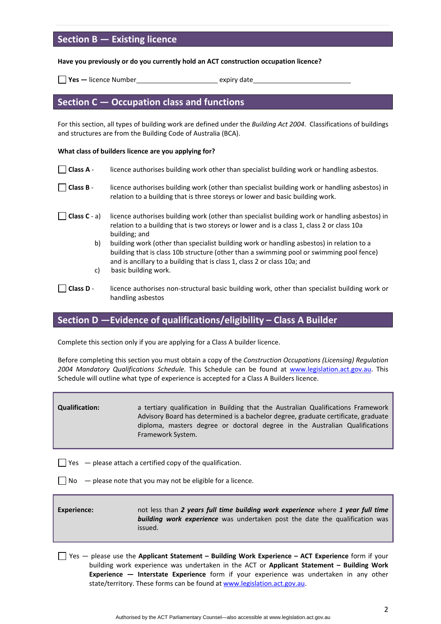# **Section B — Existing licence**

#### **Have you previously or do you currently hold an ACT construction occupation licence?**

**Pes —** licence Number<br>**Manufacture 1 September 1989** expiry date

### **Section C — Occupation class and functions**

For this section, all types of building work are defined under the *Building Act 2004*. Classifications of buildings and structures are from the Building Code of Australia (BCA).

#### **What class of builders licence are you applying for?**

| Class A -        | licence authorises building work other than specialist building work or handling asbestos.                                                                                                                                                                         |
|------------------|--------------------------------------------------------------------------------------------------------------------------------------------------------------------------------------------------------------------------------------------------------------------|
| $\Box$ Class B - | licence authorises building work (other than specialist building work or handling asbestos) in<br>relation to a building that is three storeys or lower and basic building work.                                                                                   |
| Class $C - a$ )  | licence authorises building work (other than specialist building work or handling asbestos) in<br>relation to a building that is two storeys or lower and is a class 1, class 2 or class 10a<br>building; and                                                      |
| b)               | building work (other than specialist building work or handling asbestos) in relation to a<br>building that is class 10b structure (other than a swimming pool or swimming pool fence)<br>and is ancillary to a building that is class 1, class 2 or class 10a; and |
| C)               | basic building work.                                                                                                                                                                                                                                               |
| Class D.         | licance authorises non structural basis huilding work, other than specialist huilding work or                                                                                                                                                                      |

**Class D** ‐ licence authorises non‐structural basic building work, other than specialist building work or handling asbestos

# **Section D —Evidence of qualifications/eligibility – Class A Builder**

Complete this section only if you are applying for a Class A builder licence.

Before completing this section you must obtain a copy of the *Construction Occupations (Licensing) Regulation 2004 Mandatory Qualifications Schedule.* This Schedule can be found at [www.legislation.act.gov.au](http://www.legislation.act.gov.au/). This Schedule will outline what type of experience is accepted for a Class A Builders licence.

**Qualification:** a tertiary qualification in Building that the Australian Qualifications Framework Advisory Board has determined is a bachelor degree, graduate certificate, graduate diploma, masters degree or doctoral degree in the Australian Qualifications Framework System.

 $\Box$  Yes  $-$  please attach a certified copy of the qualification.

 $\Box$  No  $\Box$  please note that you may not be eligible for a licence.

**Experience:**  not less than *2 years full time building work experience* where *1 year full time building work experience* was undertaken post the date the qualification was issued.

Yes — please use the **Applicant Statement – Building Work Experience – ACT Experience** form if your building work experience was undertaken in the ACT or **Applicant Statement – Building Work Experience — Interstate Experience** form if your experience was undertaken in any other state/territory. These forms can be found at [www.legislation.act.gov.au.](http://www.legislation.act.gov.au/a/2004-12/af.asp)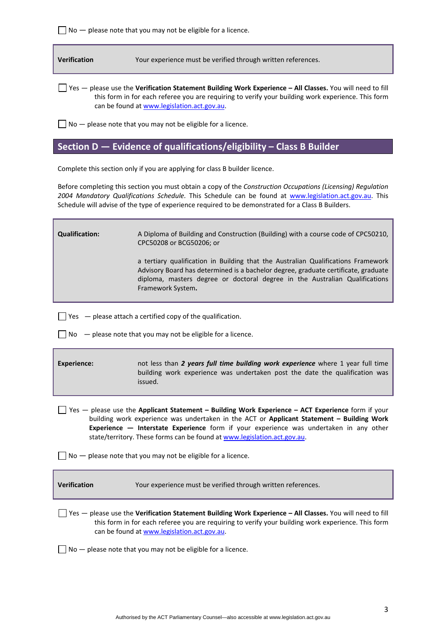$\Box$  No  $-$  please note that you may not be eligible for a licence.

**Verification** Your experience must be verified through written references.

Yes — please use the **Verification Statement Building Work Experience – All Classes.** You will need to fill this form in for each referee you are requiring to verify your building work experience. This form can be found at [www.legislation.act.gov.au](http://www.legislation.act.gov.au/a/2004-12/af.asp).

 $\Box$  No  $-$  please note that you may not be eligible for a licence.

# **Section D — Evidence of qualifications/eligibility – Class B Builder**

Complete this section only if you are applying for class B builder licence.

Before completing this section you must obtain a copy of the *Construction Occupations (Licensing) Regulation 2004 Mandatory Qualifications Schedule.* This Schedule can be found at [www.legislation.act.gov.au](http://www.legislation.act.gov.au/). This Schedule will advise of the type of experience required to be demonstrated for a Class B Builders.

**Qualification:** A Diploma of Building and Construction (Building) with a course code of CPC50210, CPC50208 or BCG50206; or  a tertiary qualification in Building that the Australian Qualifications Framework Advisory Board has determined is a bachelor degree, graduate certificate, graduate diploma, masters degree or doctoral degree in the Australian Qualifications Framework System**.**

 $\Box$  Yes  $-$  please attach a certified copy of the qualification.

 $\Box$  No  $\Box$  please note that you may not be eligible for a licence.

**Experience:**  not less than *2 years full time building work experience* where 1 year full time building work experience was undertaken post the date the qualification was issued.

Yes — please use the **Applicant Statement – Building Work Experience – ACT Experience** form if your building work experience was undertaken in the ACT or **Applicant Statement – Building Work Experience — Interstate Experience** form if your experience was undertaken in any other state/territory. These forms can be found at [www.legislation.act.gov.au.](http://www.legislation.act.gov.au/a/2004-12/af.asp)

 $\Box$  No  $\Box$  please note that you may not be eligible for a licence.

**Verification** Your experience must be verified through written references.

Yes — please use the **Verification Statement Building Work Experience – All Classes.** You will need to fill this form in for each referee you are requiring to verify your building work experience. This form can be found at [www.legislation.act.gov.au](http://www.legislation.act.gov.au/a/2004-12/af.asp).

 $\Box$  No  $-$  please note that you may not be eligible for a licence.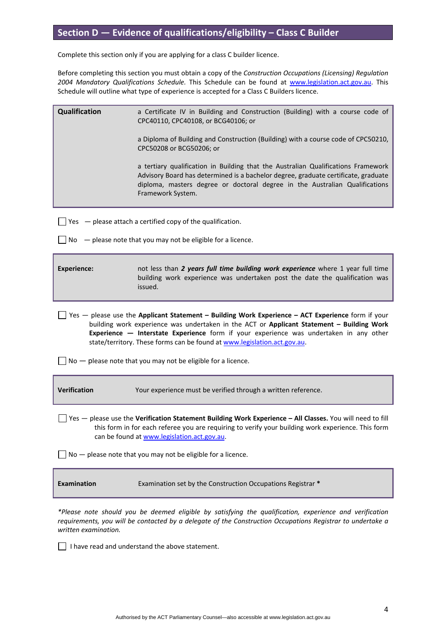# **Section D — Evidence of qualifications/eligibility – Class C Builder**

Complete this section only if you are applying for a class C builder licence.

Before completing this section you must obtain a copy of the *Construction Occupations (Licensing) Regulation 2004 Mandatory Qualifications Schedule.* This Schedule can be found at [www.legislation.act.gov.au](http://www.legislation.act.gov.au/). This Schedule will outline what type of experience is accepted for a Class C Builders licence.

| Qualification                                                                                                                                                                                                                                                                                                                                                          | a Certificate IV in Building and Construction (Building) with a course code of<br>CPC40110, CPC40108, or BCG40106; or                                                                                                                                                       |  |
|------------------------------------------------------------------------------------------------------------------------------------------------------------------------------------------------------------------------------------------------------------------------------------------------------------------------------------------------------------------------|-----------------------------------------------------------------------------------------------------------------------------------------------------------------------------------------------------------------------------------------------------------------------------|--|
|                                                                                                                                                                                                                                                                                                                                                                        | a Diploma of Building and Construction (Building) with a course code of CPC50210,<br>CPC50208 or BCG50206; or                                                                                                                                                               |  |
|                                                                                                                                                                                                                                                                                                                                                                        | a tertiary qualification in Building that the Australian Qualifications Framework<br>Advisory Board has determined is a bachelor degree, graduate certificate, graduate<br>diploma, masters degree or doctoral degree in the Australian Qualifications<br>Framework System. |  |
| Yes - please attach a certified copy of the qualification.                                                                                                                                                                                                                                                                                                             |                                                                                                                                                                                                                                                                             |  |
| - please note that you may not be eligible for a licence.<br>No                                                                                                                                                                                                                                                                                                        |                                                                                                                                                                                                                                                                             |  |
| <b>Experience:</b>                                                                                                                                                                                                                                                                                                                                                     | not less than 2 years full time building work experience where 1 year full time<br>building work experience was undertaken post the date the qualification was<br>issued.                                                                                                   |  |
| $Yes$ - please use the Applicant Statement - Building Work Experience - ACT Experience form if your<br>building work experience was undertaken in the ACT or Applicant Statement - Building Work<br>Experience - Interstate Experience form if your experience was undertaken in any other<br>state/territory. These forms can be found at www.legislation.act.gov.au. |                                                                                                                                                                                                                                                                             |  |
| $No$ — please note that you may not be eligible for a licence.                                                                                                                                                                                                                                                                                                         |                                                                                                                                                                                                                                                                             |  |
| Verification                                                                                                                                                                                                                                                                                                                                                           | Your experience must be verified through a written reference.                                                                                                                                                                                                               |  |
| Yes - please use the Verification Statement Building Work Experience - All Classes. You will need to fill<br>this form in for each referee you are requiring to verify your building work experience. This form<br>can be found at www.legislation.act.gov.au.                                                                                                         |                                                                                                                                                                                                                                                                             |  |
| $No$ - please note that you may not be eligible for a licence.                                                                                                                                                                                                                                                                                                         |                                                                                                                                                                                                                                                                             |  |
| <b>Examination</b>                                                                                                                                                                                                                                                                                                                                                     | Examination set by the Construction Occupations Registrar *                                                                                                                                                                                                                 |  |

*\*Please note should you be deemed eligible by satisfying the qualification, experience and verification requirements, you will be contacted by a delegate of the Construction Occupations Registrar to undertake a written examination.*

 $\Box$  I have read and understand the above statement.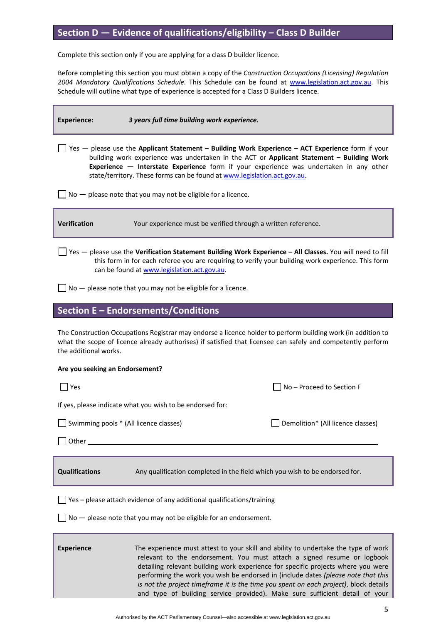# **Section D — Evidence of qualifications/eligibility – Class D Builder**

Complete this section only if you are applying for a class D builder licence.

Before completing this section you must obtain a copy of the *Construction Occupations (Licensing) Regulation 2004 Mandatory Qualifications Schedule.* This Schedule can be found at [www.legislation.act.gov.au](http://www.legislation.act.gov.au/). This Schedule will outline what type of experience is accepted for a Class D Builders licence.

**Experience:** *3 years full time building work experience.* Yes — please use the **Applicant Statement – Building Work Experience – ACT Experience** form if your building work experience was undertaken in the ACT or **Applicant Statement – Building Work Experience — Interstate Experience** form if your experience was undertaken in any other state/territory. These forms can be found at [www.legislation.act.gov.au.](http://www.legislation.act.gov.au/a/2004-12/af.asp)  $\Box$  No  $-$  please note that you may not be eligible for a licence. **Verification** Your experience must be verified through a written reference.

Yes — please use the **Verification Statement Building Work Experience – All Classes.** You will need to fill this form in for each referee you are requiring to verify your building work experience. This form can be found at [www.legislation.act.gov.au](http://www.legislation.act.gov.au/a/2004-12/af.asp).

 $\Box$  No  $-$  please note that you may not be eligible for a licence.

### **Section E – Endorsements/Conditions**

The Construction Occupations Registrar may endorse a licence holder to perform building work (in addition to what the scope of licence already authorises) if satisfied that licensee can safely and competently perform the additional works.

#### **Are you seeking an Endorsement?**

| Yes                                                                                                  | No-Proceed to Section F           |  |  |  |
|------------------------------------------------------------------------------------------------------|-----------------------------------|--|--|--|
| If yes, please indicate what you wish to be endorsed for:                                            |                                   |  |  |  |
| Swimming pools * (All licence classes)                                                               | Demolition* (All licence classes) |  |  |  |
| Other                                                                                                |                                   |  |  |  |
|                                                                                                      |                                   |  |  |  |
| <b>Qualifications</b><br>Any qualification completed in the field which you wish to be endorsed for. |                                   |  |  |  |
| Yes - please attach evidence of any additional qualifications/training                               |                                   |  |  |  |
| No - please note that you may not be eligible for an endorsement.                                    |                                   |  |  |  |
|                                                                                                      |                                   |  |  |  |

**Experience 12 The experience must attest to your skill and ability to undertake the type of work** relevant to the endorsement. You must attach a signed resume or logbook detailing relevant building work experience for specific projects where you were performing the work you wish be endorsed in (include dates *(please note that this is not the project timeframe it is the time you spent on each project)*, block details and type of building service provided). Make sure sufficient detail of your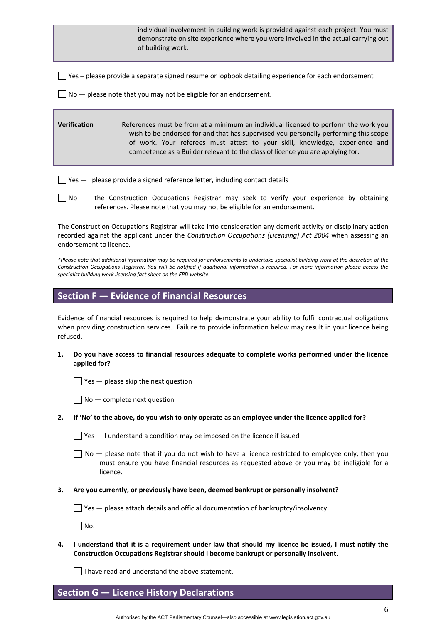individual involvement in building work is provided against each project. You must demonstrate on site experience where you were involved in the actual carrying out of building work.

 $\Box$  Yes – please provide a separate signed resume or logbook detailing experience for each endorsement

 $\Box$  No  $-$  please note that you may not be eligible for an endorsement.

### **Verification** References must be from at a minimum an individual licensed to perform the work you wish to be endorsed for and that has supervised you personally performing this scope of work. Your referees must attest to your skill, knowledge, experience and competence as a Builder relevant to the class of licence you are applying for.

 $\Box$  Yes  $-$  please provide a signed reference letter, including contact details

No — the Construction Occupations Registrar may seek to verify your experience by obtaining references. Please note that you may not be eligible for an endorsement.

The Construction Occupations Registrar will take into consideration any demerit activity or disciplinary action recorded against the applicant under the *Construction Occupations (Licensing) Act 2004* when assessing an endorsement to licence*.* 

\*Please note that additional information may be required for endorsements to undertake specialist building work at the discretion of the Construction Occupations Registrar. You will be notified if additional information is required. For more information please access the *specialist building work licensing fact sheet on the EPD website.*

### **Section F — Evidence of Financial Resources**

Evidence of financial resources is required to help demonstrate your ability to fulfil contractual obligations when providing construction services. Failure to provide information below may result in your licence being refused.

**1. Do you have access to financial resources adequate to complete works performed under the licence applied for?** 

 $\Box$  Yes — please skip the next question

 $\Box$  No  $-$  complete next question

#### 2. If 'No' to the above, do you wish to only operate as an employee under the licence applied for?

 $\Box$  Yes  $-$  I understand a condition may be imposed on the licence if issued

 $\Box$  No  $-$  please note that if you do not wish to have a licence restricted to employee only, then you must ensure you have financial resources as requested above or you may be ineligible for a licence.

**3. Are you currently, or previously have been, deemed bankrupt or personally insolvent?** 

 $\Box$  Yes  $-$  please attach details and official documentation of bankruptcy/insolvency

 $\Box$  No.

4. I understand that it is a requirement under law that should my licence be issued, I must notify the **Construction Occupations Registrar should I become bankrupt or personally insolvent.** 

 $\Box$  I have read and understand the above statement.

### **Section G — Licence History Declarations**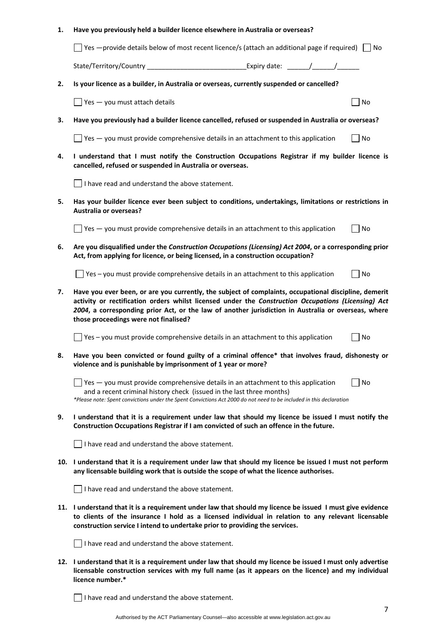#### **1. Have you previously held a builder licence elsewhere in Australia or overseas?**

 $\Box$  Yes —provide details below of most recent licence/s (attach an additional page if required)  $\Box$  No

State/Territory/Country expiry date: the state of the state of the state of the state of the state of the state of the state of the state of the state of the state of the state of the state of the state of the state of the

**2. Is your licence as a builder, in Australia or overseas, currently suspended or cancelled?** 

 $\Box$  Yes — you must attach details  $\Box$  No

3. Have you previously had a builder licence cancelled, refused or suspended in Australia or overseas?

 $\Box$  Yes — you must provide comprehensive details in an attachment to this application  $\Box$  No

**4. I understand that I must notify the Construction Occupations Registrar if my builder licence is cancelled, refused or suspended in Australia or overseas.** 

 $\Box$  I have read and understand the above statement.

**5. Has your builder licence ever been subject to conditions, undertakings, limitations or restrictions in Australia or overseas?** 

 $\Box$  Yes — you must provide comprehensive details in an attachment to this application  $\Box$  No

**6. Are you disqualified under the** *Construction Occupations (Licensing) Act 2004***, or a corresponding prior Act, from applying for licence, or being licensed, in a construction occupation?** 

 $\Box$  Yes – you must provide comprehensive details in an attachment to this application  $\Box$  No

**7. Have you ever been, or are you currently, the subject of complaints, occupational discipline, demerit activity or rectification orders whilst licensed under the** *Construction Occupations (Licensing) Act 2004***, a corresponding prior Act, or the law of another jurisdiction in Australia or overseas, where those proceedings were not finalised?** 

 $\Box$  Yes – you must provide comprehensive details in an attachment to this application  $\Box$  No

**8. Have you been convicted or found guilty of a criminal offence\* that involves fraud, dishonesty or violence and is punishable by imprisonment of 1 year or more?** 

 $\Box$  Yes — you must provide comprehensive details in an attachment to this application  $\Box$  No and a recent criminal history check (issued in the last three months) \*Please note: Spent convictions under the Spent Convictions Act 2000 do not need to be included in this declaration

9. I understand that it is a requirement under law that should my licence be issued I must notify the **Construction Occupations Registrar if I am convicted of such an offence in the future.** 

 $\Box$  I have read and understand the above statement.

10. I understand that it is a requirement under law that should my licence be issued I must not perform **any licensable building work that is outside the scope of what the licence authorises.** 

 $\Box$  I have read and understand the above statement.

11. I understand that it is a requirement under law that should my licence be issued I must give evidence **to clients of the insurance I hold as a licensed individual in relation to any relevant licensable construction service I intend to undertake prior to providing the services.** 

 $\Box$  I have read and understand the above statement.

12. I understand that it is a requirement under law that should my licence be issued I must only advertise **licensable construction services with my full name (as it appears on the licence) and my individual licence number.\*** 

 $\Box$  I have read and understand the above statement.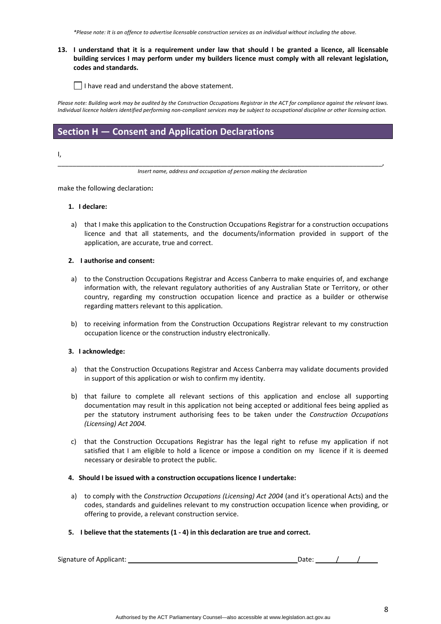\*Please note: It is an offence to advertise licensable construction services as an individual without including the above.

#### 13. I understand that it is a requirement under law that should I be granted a licence, all licensable **building services I may perform under my builders licence must comply with all relevant legislation, codes and standards.**

 $\Box$  I have read and understand the above statement.

Please note: Building work may be audited by the Construction Occupations Registrar in the ACT for compliance against the relevant laws. Individual licence holders identified performing non-compliant services may be subject to occupational discipline or other licensing action.

# **Section H — Consent and Application Declarations**

I,

\_\_\_\_\_\_\_\_\_\_\_\_\_\_\_\_\_\_\_\_\_\_\_\_\_\_\_\_\_\_\_\_\_\_\_\_\_\_\_\_\_\_\_\_\_\_\_\_\_\_\_\_\_\_\_\_\_\_\_\_\_\_\_\_\_\_\_\_\_\_\_\_\_\_\_\_\_\_\_\_\_\_\_\_\_\_\_\_, *Insert name, address and occupation of person making the declaration*

make the following declaration**:**

#### **1. I declare:**

a) that I make this application to the Construction Occupations Registrar for a construction occupations licence and that all statements, and the documents/information provided in support of the application, are accurate, true and correct.

#### **2. I authorise and consent:**

- a) to the Construction Occupations Registrar and Access Canberra to make enquiries of, and exchange information with, the relevant regulatory authorities of any Australian State or Territory, or other country, regarding my construction occupation licence and practice as a builder or otherwise regarding matters relevant to this application.
- b) to receiving information from the Construction Occupations Registrar relevant to my construction occupation licence or the construction industry electronically.

#### **3. I acknowledge:**

- a) that the Construction Occupations Registrar and Access Canberra may validate documents provided in support of this application or wish to confirm my identity.
- b) that failure to complete all relevant sections of this application and enclose all supporting documentation may result in this application not being accepted or additional fees being applied as per the statutory instrument authorising fees to be taken under the *Construction Occupations (Licensing) Act 2004.*
- c) that the Construction Occupations Registrar has the legal right to refuse my application if not satisfied that I am eligible to hold a licence or impose a condition on my licence if it is deemed necessary or desirable to protect the public.

#### **4. Should I be issued with a construction occupations licence I undertake:**

a) to comply with the *Construction Occupations (Licensing) Act 2004* (and it's operational Acts) and the codes, standards and guidelines relevant to my construction occupation licence when providing, or offering to provide, a relevant construction service.

#### **5. I believe that the statements (1 ‐ 4) in this declaration are true and correct.**

Signature of Applicant: *a*  $\binom{1}{k}$  Date:  $\binom{k}{k}$  Date:  $\binom{k}{k}$